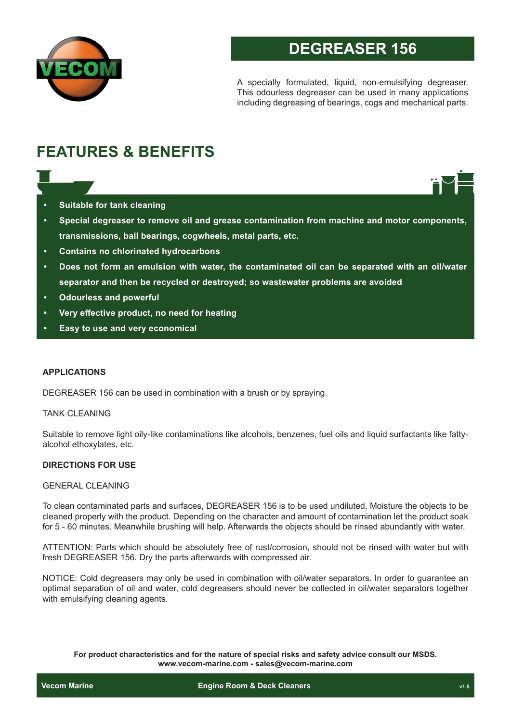

# **DEGREASER 156**

A specially formulated, liquid, non-emulsifying degreaser. This odourless degreaser can be used in many applications including degreasing of bearings, cogs and mechanical parts.

# **FEATURES & BENEFITS**

- **• Suitable for tank cleaning**
- **• Special degreaser to remove oil and grease contamination from machine and motor components, transmissions, ball bearings, cogwheels, metal parts, etc.**
- **• Contains no chlorinated hydrocarbons**
- **• Does not form an emulsion with water, the contaminated oil can be separated with an oil/water separator and then be recycled or destroyed; so wastewater problems are avoided**
- **• Odourless and powerful**
- **• Very effective product, no need for heating**
- **• Easy to use and very economical**

#### **APPLICATIONS**

DEGREASER 156 can be used in combination with a brush or by spraying.

#### TANK CLEANING

Suitable to remove light oily-like contaminations like alcohols, benzenes, fuel oils and liquid surfactants like fattyalcohol ethoxylates, etc.

### **DIRECTIONS FOR USE**

#### GENERAL CLEANING

To clean contaminated parts and surfaces, DEGREASER 156 is to be used undiluted. Moisture the objects to be cleaned properly with the product. Depending on the character and amount of contamination let the product soak for 5 - 60 minutes. Meanwhile brushing will help. Afterwards the objects should be rinsed abundantly with water.

ATTENTION: Parts which should be absolutely free of rust/corrosion, should not be rinsed with water but with fresh DEGREASER 156. Dry the parts afterwards with compressed air.

NOTICE: Cold degreasers may only be used in combination with oil/water separators. In order to guarantee an optimal separation of oil and water, cold degreasers should never be collected in oil/water separators together with emulsifying cleaning agents.

**For product characteristics and for the nature of special risks and safety advice consult our MSDS. www.vecom-marine.com - sales@vecom-marine.com**